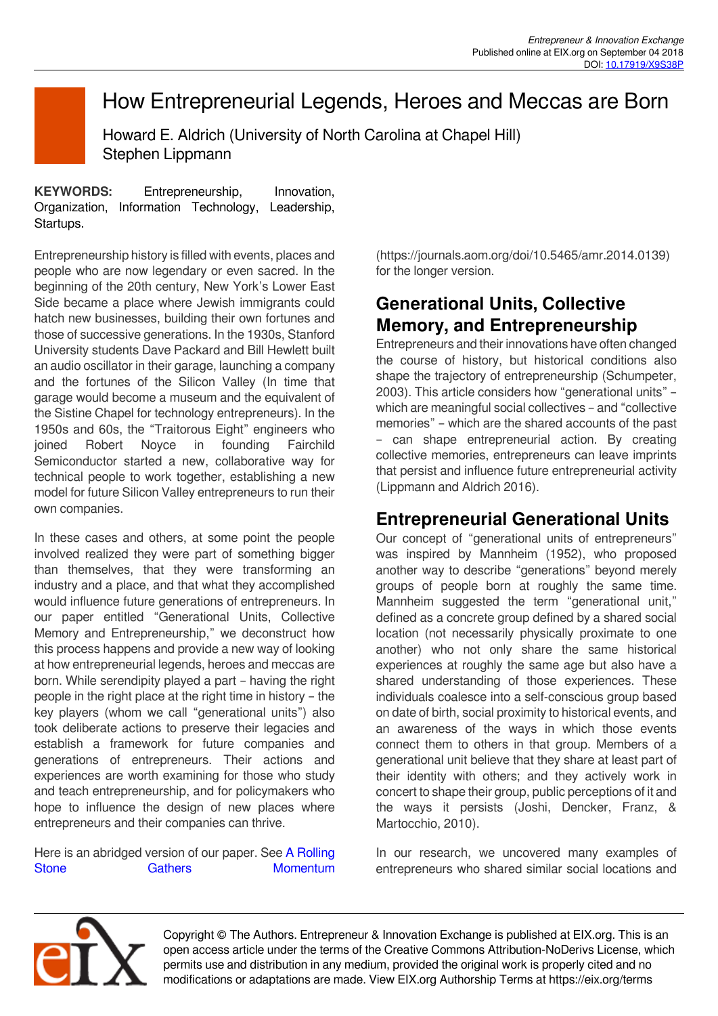# How Entrepreneurial Legends, Heroes and Meccas are Born

Howard E. Aldrich (University of North Carolina at Chapel Hill) Stephen Lippmann

**KEYWORDS:** Entrepreneurship, Innovation, Organization, Information Technology, Leadership, Startups.

Entrepreneurship history is filled with events, places and people who are now legendary or even sacred. In the beginning of the 20th century, New York's Lower East Side became a place where Jewish immigrants could hatch new businesses, building their own fortunes and those of successive generations. In the 1930s, Stanford University students Dave Packard and Bill Hewlett built an audio oscillator in their garage, launching a company and the fortunes of the Silicon Valley (In time that garage would become a museum and the equivalent of the Sistine Chapel for technology entrepreneurs). In the 1950s and 60s, the "Traitorous Eight" engineers who joined Robert Noyce in founding Fairchild Semiconductor started a new, collaborative way for technical people to work together, establishing a new model for future Silicon Valley entrepreneurs to run their own companies.

In these cases and others, at some point the people involved realized they were part of something bigger than themselves, that they were transforming an industry and a place, and that what they accomplished would influence future generations of entrepreneurs. In our paper entitled "Generational Units, Collective Memory and Entrepreneurship," we deconstruct how this process happens and provide a new way of looking at how entrepreneurial legends, heroes and meccas are born. While serendipity played a part – having the right people in the right place at the right time in history – the key players (whom we call "generational units") also took deliberate actions to preserve their legacies and establish a framework for future companies and generations of entrepreneurs. Their actions and experiences are worth examining for those who study and teach entrepreneurship, and for policymakers who hope to influence the design of new places where entrepreneurs and their companies can thrive.

Here is an abridged version of our paper. See [A Rolling](https://journals.aom.org/doi/10.5465/amr.2014.0139) [Stone Gathers Momentum](https://journals.aom.org/doi/10.5465/amr.2014.0139) (https://journals.aom.org/doi/10.5465/amr.2014.0139) for the longer version.

# **Generational Units, Collective Memory, and Entrepreneurship**

Entrepreneurs and their innovations have often changed the course of history, but historical conditions also shape the trajectory of entrepreneurship (Schumpeter, 2003). This article considers how "generational units" – which are meaningful social collectives – and "collective memories" – which are the shared accounts of the past – can shape entrepreneurial action. By creating collective memories, entrepreneurs can leave imprints that persist and influence future entrepreneurial activity (Lippmann and Aldrich 2016).

# **Entrepreneurial Generational Units**

Our concept of "generational units of entrepreneurs" was inspired by Mannheim (1952), who proposed another way to describe "generations" beyond merely groups of people born at roughly the same time. Mannheim suggested the term "generational unit," defined as a concrete group defined by a shared social location (not necessarily physically proximate to one another) who not only share the same historical experiences at roughly the same age but also have a shared understanding of those experiences. These individuals coalesce into a self-conscious group based on date of birth, social proximity to historical events, and an awareness of the ways in which those events connect them to others in that group. Members of a generational unit believe that they share at least part of their identity with others; and they actively work in concert to shape their group, public perceptions of it and the ways it persists (Joshi, Dencker, Franz, & Martocchio, 2010).

In our research, we uncovered many examples of entrepreneurs who shared similar social locations and



Copyright © The Authors. Entrepreneur & Innovation Exchange is published at EIX.org. This is an open access article under the terms of the Creative Commons Attribution-NoDerivs License, which permits use and distribution in any medium, provided the original work is properly cited and no modifications or adaptations are made. View EIX.org Authorship Terms at https://eix.org/terms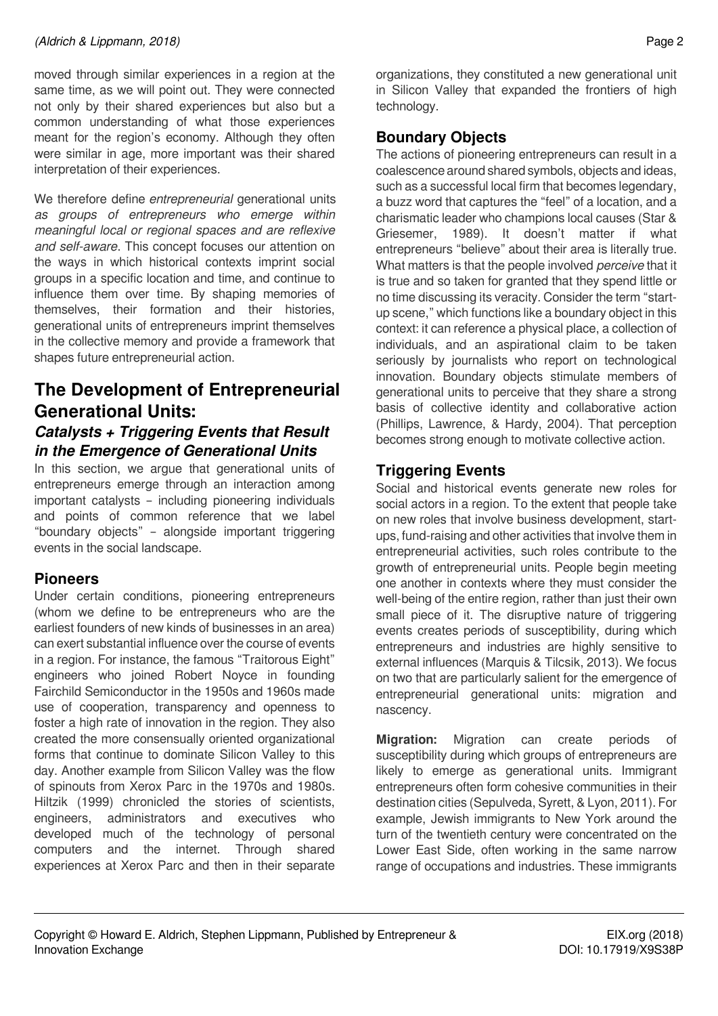#### *(Aldrich & Lippmann, 2018)* Page 2

moved through similar experiences in a region at the same time, as we will point out. They were connected not only by their shared experiences but also but a common understanding of what those experiences meant for the region's economy. Although they often were similar in age, more important was their shared interpretation of their experiences.

We therefore define *entrepreneurial* generational units *as groups of entrepreneurs who emerge within meaningful local or regional spaces and are reflexive and self-aware*. This concept focuses our attention on the ways in which historical contexts imprint social groups in a specific location and time, and continue to influence them over time. By shaping memories of themselves, their formation and their histories, generational units of entrepreneurs imprint themselves in the collective memory and provide a framework that shapes future entrepreneurial action.

### **The Development of Entrepreneurial Generational Units:**

### *Catalysts + Triggering Events that Result in the Emergence of Generational Units*

In this section, we argue that generational units of entrepreneurs emerge through an interaction among important catalysts – including pioneering individuals and points of common reference that we label "boundary objects" – alongside important triggering events in the social landscape.

#### **Pioneers**

Under certain conditions, pioneering entrepreneurs (whom we define to be entrepreneurs who are the earliest founders of new kinds of businesses in an area) can exert substantial influence over the course of events in a region. For instance, the famous "Traitorous Eight" engineers who joined Robert Noyce in founding Fairchild Semiconductor in the 1950s and 1960s made use of cooperation, transparency and openness to foster a high rate of innovation in the region. They also created the more consensually oriented organizational forms that continue to dominate Silicon Valley to this day. Another example from Silicon Valley was the flow of spinouts from Xerox Parc in the 1970s and 1980s. Hiltzik (1999) chronicled the stories of scientists, engineers, administrators and executives who developed much of the technology of personal computers and the internet. Through shared experiences at Xerox Parc and then in their separate organizations, they constituted a new generational unit in Silicon Valley that expanded the frontiers of high technology.

#### **Boundary Objects**

The actions of pioneering entrepreneurs can result in a coalescence around shared symbols, objects and ideas, such as a successful local firm that becomes legendary, a buzz word that captures the "feel" of a location, and a charismatic leader who champions local causes (Star & Griesemer, 1989). It doesn't matter if what entrepreneurs "believe" about their area is literally true. What matters is that the people involved *perceive* that it is true and so taken for granted that they spend little or no time discussing its veracity. Consider the term "startup scene," which functions like a boundary object in this context: it can reference a physical place, a collection of individuals, and an aspirational claim to be taken seriously by journalists who report on technological innovation. Boundary objects stimulate members of generational units to perceive that they share a strong basis of collective identity and collaborative action (Phillips, Lawrence, & Hardy, 2004). That perception becomes strong enough to motivate collective action.

### **Triggering Events**

Social and historical events generate new roles for social actors in a region. To the extent that people take on new roles that involve business development, startups, fund-raising and other activities that involve them in entrepreneurial activities, such roles contribute to the growth of entrepreneurial units. People begin meeting one another in contexts where they must consider the well-being of the entire region, rather than just their own small piece of it. The disruptive nature of triggering events creates periods of susceptibility, during which entrepreneurs and industries are highly sensitive to external influences (Marquis & Tilcsik, 2013). We focus on two that are particularly salient for the emergence of entrepreneurial generational units: migration and nascency.

**Migration:** Migration can create periods of susceptibility during which groups of entrepreneurs are likely to emerge as generational units. Immigrant entrepreneurs often form cohesive communities in their destination cities (Sepulveda, Syrett, & Lyon, 2011). For example, Jewish immigrants to New York around the turn of the twentieth century were concentrated on the Lower East Side, often working in the same narrow range of occupations and industries. These immigrants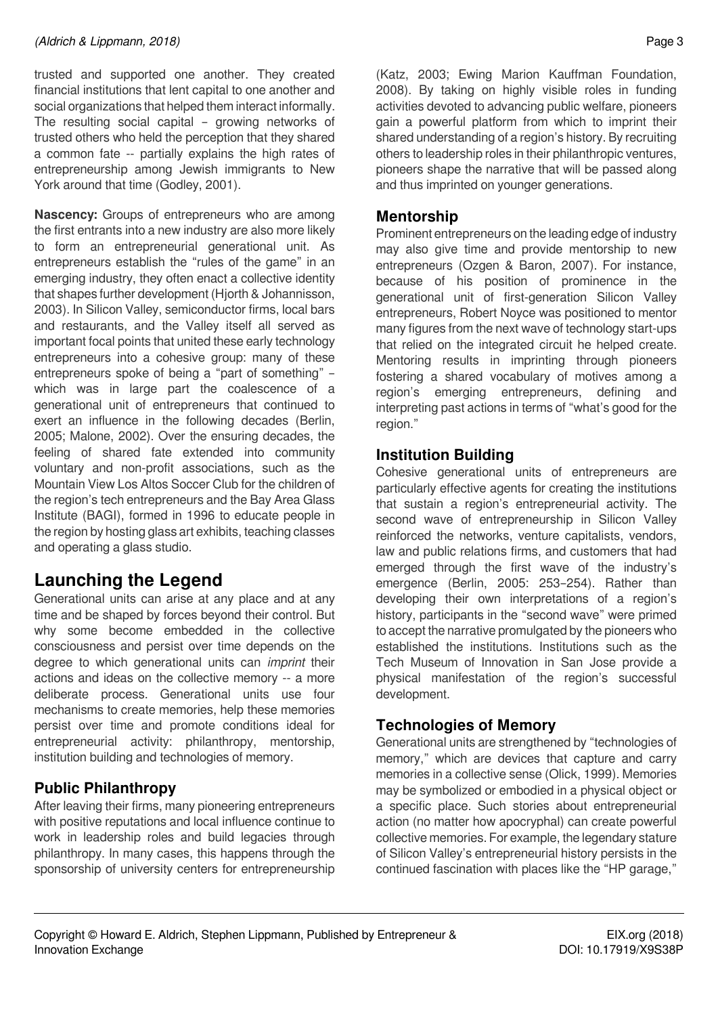trusted and supported one another. They created financial institutions that lent capital to one another and social organizations that helped them interact informally. The resulting social capital – growing networks of trusted others who held the perception that they shared a common fate -- partially explains the high rates of entrepreneurship among Jewish immigrants to New York around that time (Godley, 2001).

**Nascency:** Groups of entrepreneurs who are among the first entrants into a new industry are also more likely to form an entrepreneurial generational unit. As entrepreneurs establish the "rules of the game" in an emerging industry, they often enact a collective identity that shapes further development (Hjorth & Johannisson, 2003). In Silicon Valley, semiconductor firms, local bars and restaurants, and the Valley itself all served as important focal points that united these early technology entrepreneurs into a cohesive group: many of these entrepreneurs spoke of being a "part of something" – which was in large part the coalescence of a generational unit of entrepreneurs that continued to exert an influence in the following decades (Berlin, 2005; Malone, 2002). Over the ensuring decades, the feeling of shared fate extended into community voluntary and non-profit associations, such as the Mountain View Los Altos Soccer Club for the children of the region's tech entrepreneurs and the Bay Area Glass Institute (BAGI), formed in 1996 to educate people in the region by hosting glass art exhibits, teaching classes and operating a glass studio.

# **Launching the Legend**

Generational units can arise at any place and at any time and be shaped by forces beyond their control. But why some become embedded in the collective consciousness and persist over time depends on the degree to which generational units can *imprint* their actions and ideas on the collective memory -- a more deliberate process. Generational units use four mechanisms to create memories, help these memories persist over time and promote conditions ideal for entrepreneurial activity: philanthropy, mentorship, institution building and technologies of memory.

### **Public Philanthropy**

After leaving their firms, many pioneering entrepreneurs with positive reputations and local influence continue to work in leadership roles and build legacies through philanthropy. In many cases, this happens through the sponsorship of university centers for entrepreneurship

### **Mentorship**

Prominent entrepreneurs on the leading edge of industry may also give time and provide mentorship to new entrepreneurs (Ozgen & Baron, 2007). For instance, because of his position of prominence in the generational unit of first-generation Silicon Valley entrepreneurs, Robert Noyce was positioned to mentor many figures from the next wave of technology start-ups that relied on the integrated circuit he helped create. Mentoring results in imprinting through pioneers fostering a shared vocabulary of motives among a region's emerging entrepreneurs, defining and interpreting past actions in terms of "what's good for the region."

### **Institution Building**

Cohesive generational units of entrepreneurs are particularly effective agents for creating the institutions that sustain a region's entrepreneurial activity. The second wave of entrepreneurship in Silicon Valley reinforced the networks, venture capitalists, vendors, law and public relations firms, and customers that had emerged through the first wave of the industry's emergence (Berlin, 2005: 253–254). Rather than developing their own interpretations of a region's history, participants in the "second wave" were primed to accept the narrative promulgated by the pioneers who established the institutions. Institutions such as the Tech Museum of Innovation in San Jose provide a physical manifestation of the region's successful development.

### **Technologies of Memory**

Generational units are strengthened by "technologies of memory," which are devices that capture and carry memories in a collective sense (Olick, 1999). Memories may be symbolized or embodied in a physical object or a specific place. Such stories about entrepreneurial action (no matter how apocryphal) can create powerful collective memories. For example, the legendary stature of Silicon Valley's entrepreneurial history persists in the continued fascination with places like the "HP garage,"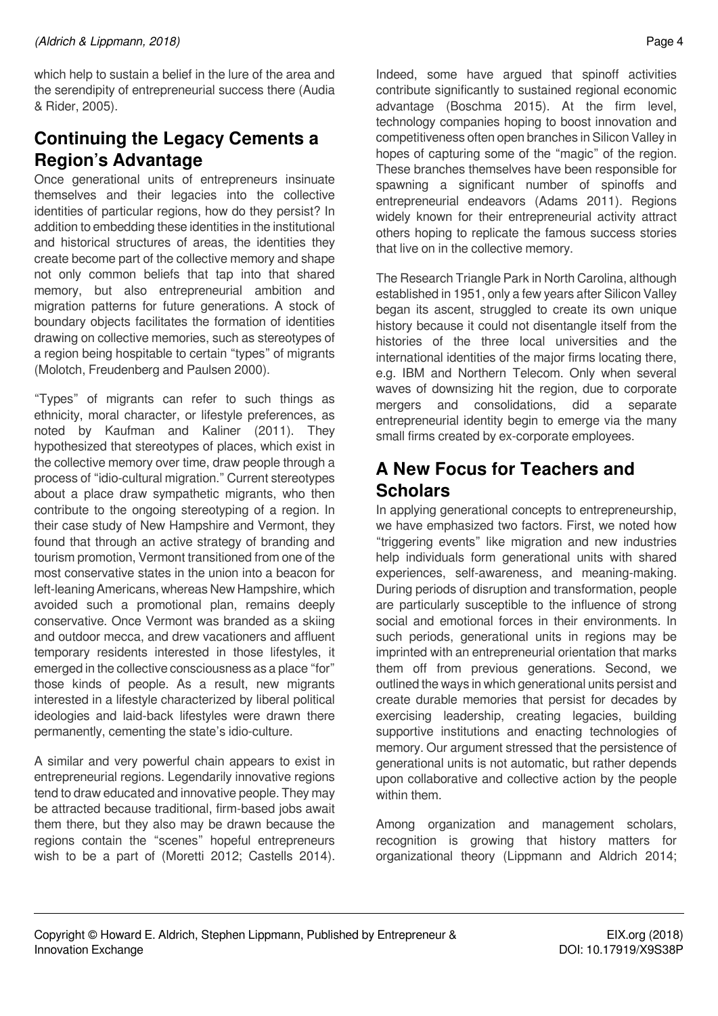which help to sustain a belief in the lure of the area and the serendipity of entrepreneurial success there (Audia & Rider, 2005).

# **Continuing the Legacy Cements a Region's Advantage**

Once generational units of entrepreneurs insinuate themselves and their legacies into the collective identities of particular regions, how do they persist? In addition to embedding these identities in the institutional and historical structures of areas, the identities they create become part of the collective memory and shape not only common beliefs that tap into that shared memory, but also entrepreneurial ambition and migration patterns for future generations. A stock of boundary objects facilitates the formation of identities drawing on collective memories, such as stereotypes of a region being hospitable to certain "types" of migrants (Molotch, Freudenberg and Paulsen 2000).

"Types" of migrants can refer to such things as ethnicity, moral character, or lifestyle preferences, as noted by Kaufman and Kaliner (2011). They hypothesized that stereotypes of places, which exist in the collective memory over time, draw people through a process of "idio-cultural migration." Current stereotypes about a place draw sympathetic migrants, who then contribute to the ongoing stereotyping of a region. In their case study of New Hampshire and Vermont, they found that through an active strategy of branding and tourism promotion, Vermont transitioned from one of the most conservative states in the union into a beacon for left-leaning Americans, whereas New Hampshire, which avoided such a promotional plan, remains deeply conservative. Once Vermont was branded as a skiing and outdoor mecca, and drew vacationers and affluent temporary residents interested in those lifestyles, it emerged in the collective consciousness as a place "for" those kinds of people. As a result, new migrants interested in a lifestyle characterized by liberal political ideologies and laid-back lifestyles were drawn there permanently, cementing the state's idio-culture.

A similar and very powerful chain appears to exist in entrepreneurial regions. Legendarily innovative regions tend to draw educated and innovative people. They may be attracted because traditional, firm-based jobs await them there, but they also may be drawn because the regions contain the "scenes" hopeful entrepreneurs wish to be a part of (Moretti 2012; Castells 2014). Indeed, some have argued that spinoff activities contribute significantly to sustained regional economic advantage (Boschma 2015). At the firm level, technology companies hoping to boost innovation and competitiveness often open branches in Silicon Valley in hopes of capturing some of the "magic" of the region. These branches themselves have been responsible for spawning a significant number of spinoffs and entrepreneurial endeavors (Adams 2011). Regions widely known for their entrepreneurial activity attract others hoping to replicate the famous success stories that live on in the collective memory.

The Research Triangle Park in North Carolina, although established in 1951, only a few years after Silicon Valley began its ascent, struggled to create its own unique history because it could not disentangle itself from the histories of the three local universities and the international identities of the major firms locating there, e.g. IBM and Northern Telecom. Only when several waves of downsizing hit the region, due to corporate mergers and consolidations, did a separate entrepreneurial identity begin to emerge via the many small firms created by ex-corporate employees.

# **A New Focus for Teachers and Scholars**

In applying generational concepts to entrepreneurship. we have emphasized two factors. First, we noted how "triggering events" like migration and new industries help individuals form generational units with shared experiences, self-awareness, and meaning-making. During periods of disruption and transformation, people are particularly susceptible to the influence of strong social and emotional forces in their environments. In such periods, generational units in regions may be imprinted with an entrepreneurial orientation that marks them off from previous generations. Second, we outlined the ways in which generational units persist and create durable memories that persist for decades by exercising leadership, creating legacies, building supportive institutions and enacting technologies of memory. Our argument stressed that the persistence of generational units is not automatic, but rather depends upon collaborative and collective action by the people within them.

Among organization and management scholars, recognition is growing that history matters for organizational theory (Lippmann and Aldrich 2014;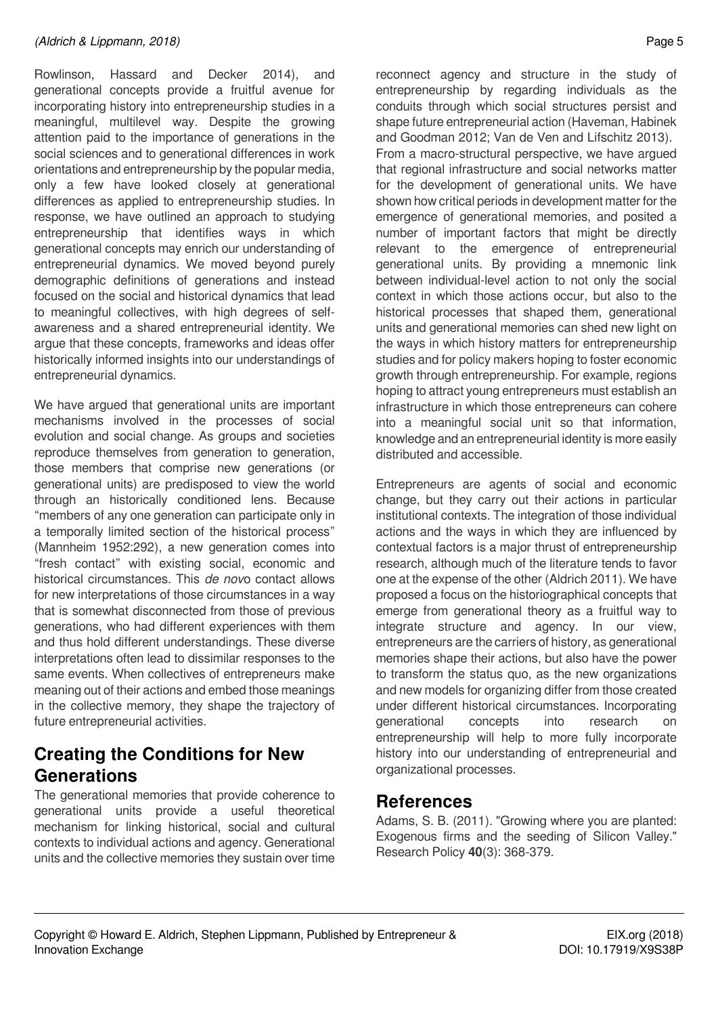Rowlinson, Hassard and Decker 2014), and generational concepts provide a fruitful avenue for incorporating history into entrepreneurship studies in a meaningful, multilevel way. Despite the growing attention paid to the importance of generations in the social sciences and to generational differences in work orientations and entrepreneurship by the popular media, only a few have looked closely at generational differences as applied to entrepreneurship studies. In response, we have outlined an approach to studying entrepreneurship that identifies ways in which generational concepts may enrich our understanding of entrepreneurial dynamics. We moved beyond purely demographic definitions of generations and instead focused on the social and historical dynamics that lead to meaningful collectives, with high degrees of selfawareness and a shared entrepreneurial identity. We argue that these concepts, frameworks and ideas offer historically informed insights into our understandings of entrepreneurial dynamics.

We have argued that generational units are important mechanisms involved in the processes of social evolution and social change. As groups and societies reproduce themselves from generation to generation, those members that comprise new generations (or generational units) are predisposed to view the world through an historically conditioned lens. Because "members of any one generation can participate only in a temporally limited section of the historical process" (Mannheim 1952:292), a new generation comes into "fresh contact" with existing social, economic and historical circumstances. This *de nov*o contact allows for new interpretations of those circumstances in a way that is somewhat disconnected from those of previous generations, who had different experiences with them and thus hold different understandings. These diverse interpretations often lead to dissimilar responses to the same events. When collectives of entrepreneurs make meaning out of their actions and embed those meanings in the collective memory, they shape the trajectory of future entrepreneurial activities.

# **Creating the Conditions for New Generations**

The generational memories that provide coherence to generational units provide a useful theoretical mechanism for linking historical, social and cultural contexts to individual actions and agency. Generational units and the collective memories they sustain over time reconnect agency and structure in the study of entrepreneurship by regarding individuals as the conduits through which social structures persist and shape future entrepreneurial action (Haveman, Habinek and Goodman 2012; Van de Ven and Lifschitz 2013). From a macro-structural perspective, we have argued that regional infrastructure and social networks matter for the development of generational units. We have shown how critical periods in development matter for the emergence of generational memories, and posited a number of important factors that might be directly relevant to the emergence of entrepreneurial generational units. By providing a mnemonic link between individual-level action to not only the social context in which those actions occur, but also to the historical processes that shaped them, generational units and generational memories can shed new light on the ways in which history matters for entrepreneurship studies and for policy makers hoping to foster economic growth through entrepreneurship. For example, regions hoping to attract young entrepreneurs must establish an infrastructure in which those entrepreneurs can cohere into a meaningful social unit so that information, knowledge and an entrepreneurial identity is more easily distributed and accessible.

Entrepreneurs are agents of social and economic change, but they carry out their actions in particular institutional contexts. The integration of those individual actions and the ways in which they are influenced by contextual factors is a major thrust of entrepreneurship research, although much of the literature tends to favor one at the expense of the other (Aldrich 2011). We have proposed a focus on the historiographical concepts that emerge from generational theory as a fruitful way to integrate structure and agency. In our view, entrepreneurs are the carriers of history, as generational memories shape their actions, but also have the power to transform the status quo, as the new organizations and new models for organizing differ from those created under different historical circumstances. Incorporating generational concepts into research on entrepreneurship will help to more fully incorporate history into our understanding of entrepreneurial and organizational processes.

### **References**

Adams, S. B. (2011). "Growing where you are planted: Exogenous firms and the seeding of Silicon Valley." Research Policy **40**(3): 368-379.